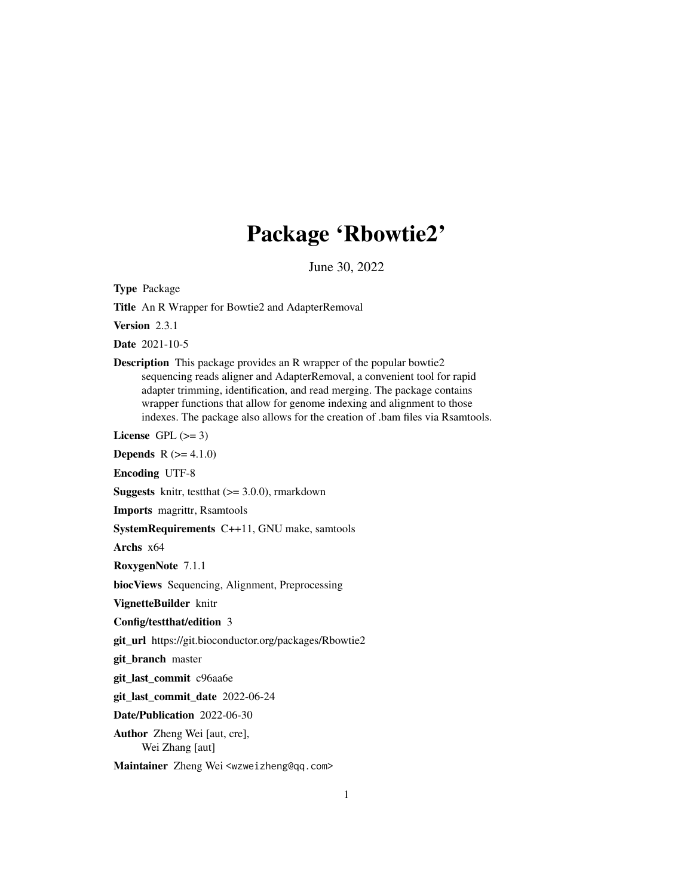# Package 'Rbowtie2'

June 30, 2022

Type Package

Title An R Wrapper for Bowtie2 and AdapterRemoval

Version 2.3.1

Date 2021-10-5

Description This package provides an R wrapper of the popular bowtie2 sequencing reads aligner and AdapterRemoval, a convenient tool for rapid adapter trimming, identification, and read merging. The package contains wrapper functions that allow for genome indexing and alignment to those indexes. The package also allows for the creation of .bam files via Rsamtools.

License GPL  $(>= 3)$ 

**Depends**  $R (= 4.1.0)$ 

Encoding UTF-8

**Suggests** knitr, test that  $(>= 3.0.0)$ , rmarkdown

Imports magrittr, Rsamtools

SystemRequirements C++11, GNU make, samtools

Archs x64

RoxygenNote 7.1.1

biocViews Sequencing, Alignment, Preprocessing

VignetteBuilder knitr

#### Config/testthat/edition 3

git\_url https://git.bioconductor.org/packages/Rbowtie2

git\_branch master

git\_last\_commit c96aa6e

git\_last\_commit\_date 2022-06-24

Date/Publication 2022-06-30

Author Zheng Wei [aut, cre], Wei Zhang [aut]

Maintainer Zheng Wei <wzweizheng@qq.com>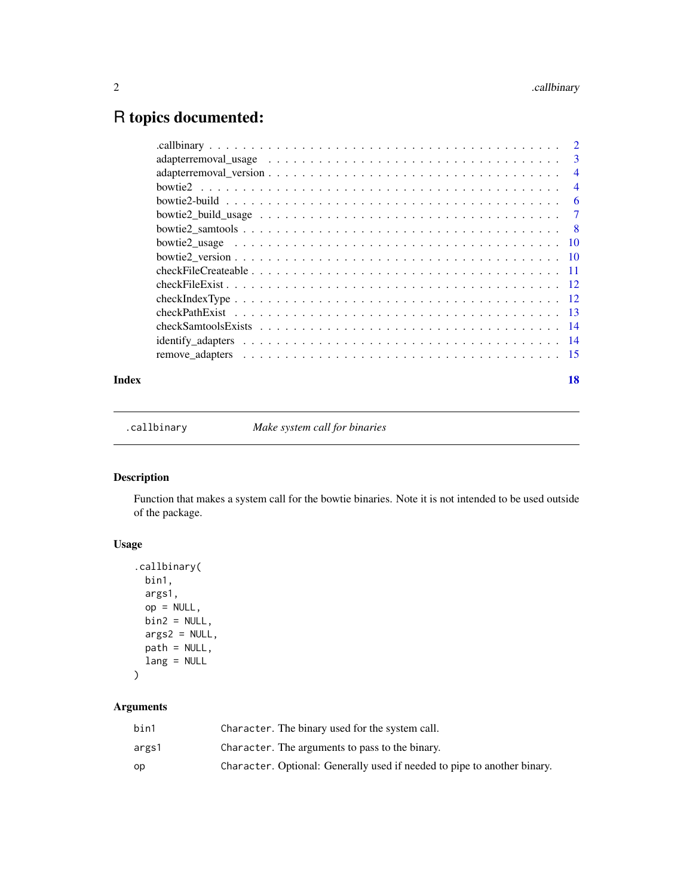## <span id="page-1-0"></span>R topics documented:

| Index | 18 |
|-------|----|

.callbinary *Make system call for binaries*

#### Description

Function that makes a system call for the bowtie binaries. Note it is not intended to be used outside of the package.

#### Usage

```
.callbinary(
 bin1,
 args1,
 op = NULL,bin2 = NULL,args2 = NULL,path = NULL,
 lang = NULL
\mathcal{L}
```
### Arguments

| bin1  | Character. The binary used for the system call.                          |
|-------|--------------------------------------------------------------------------|
| args1 | Character. The arguments to pass to the binary.                          |
| op    | Character. Optional: Generally used if needed to pipe to another binary. |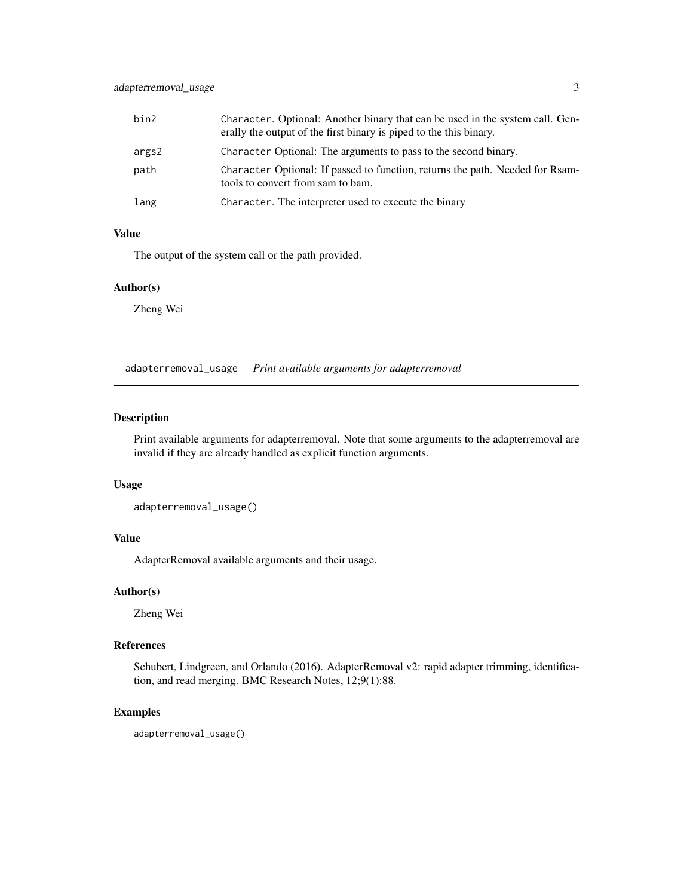#### <span id="page-2-0"></span>adapterremoval\_usage 3

| bin2  | Character. Optional: Another binary that can be used in the system call. Gen-<br>erally the output of the first binary is piped to the this binary. |
|-------|-----------------------------------------------------------------------------------------------------------------------------------------------------|
| args2 | Character Optional: The arguments to pass to the second binary.                                                                                     |
| path  | Character Optional: If passed to function, returns the path. Needed for Rsam-<br>tools to convert from sam to bam.                                  |
| lang  | Character. The interpreter used to execute the binary                                                                                               |

#### Value

The output of the system call or the path provided.

#### Author(s)

Zheng Wei

adapterremoval\_usage *Print available arguments for adapterremoval*

#### Description

Print available arguments for adapterremoval. Note that some arguments to the adapterremoval are invalid if they are already handled as explicit function arguments.

#### Usage

```
adapterremoval_usage()
```
#### Value

AdapterRemoval available arguments and their usage.

#### Author(s)

Zheng Wei

#### References

Schubert, Lindgreen, and Orlando (2016). AdapterRemoval v2: rapid adapter trimming, identification, and read merging. BMC Research Notes, 12;9(1):88.

#### Examples

adapterremoval\_usage()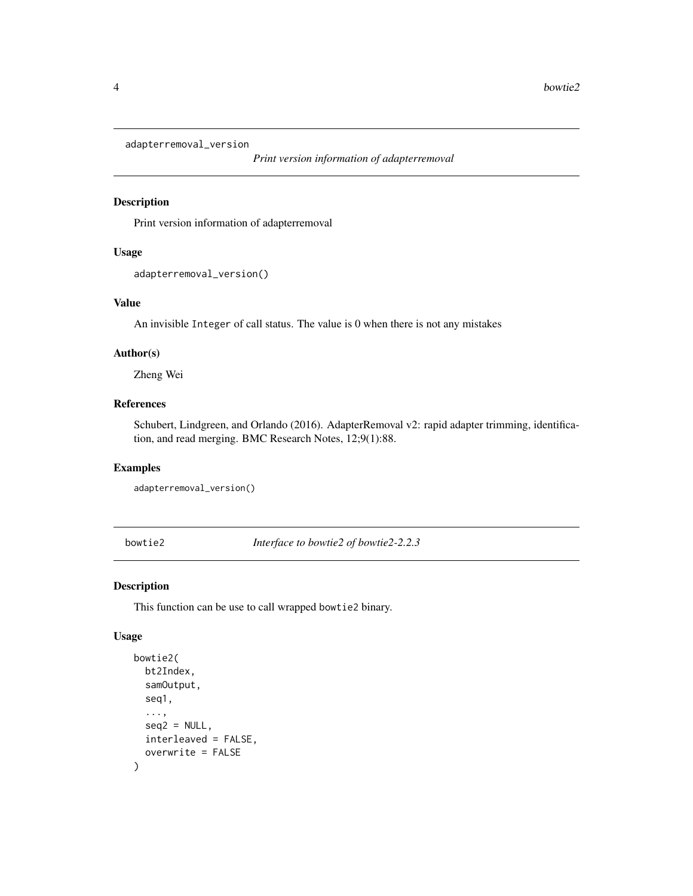<span id="page-3-0"></span>adapterremoval\_version

*Print version information of adapterremoval*

#### Description

Print version information of adapterremoval

#### Usage

```
adapterremoval_version()
```
#### Value

An invisible Integer of call status. The value is 0 when there is not any mistakes

#### Author(s)

Zheng Wei

#### References

Schubert, Lindgreen, and Orlando (2016). AdapterRemoval v2: rapid adapter trimming, identification, and read merging. BMC Research Notes, 12;9(1):88.

#### Examples

adapterremoval\_version()

bowtie2 *Interface to bowtie2 of bowtie2-2.2.3*

#### Description

This function can be use to call wrapped bowtie2 binary.

#### Usage

```
bowtie2(
 bt2Index,
  samOutput,
  seq1,
  ...,
  seq2 = NULL,interleaved = FALSE,
  overwrite = FALSE
)
```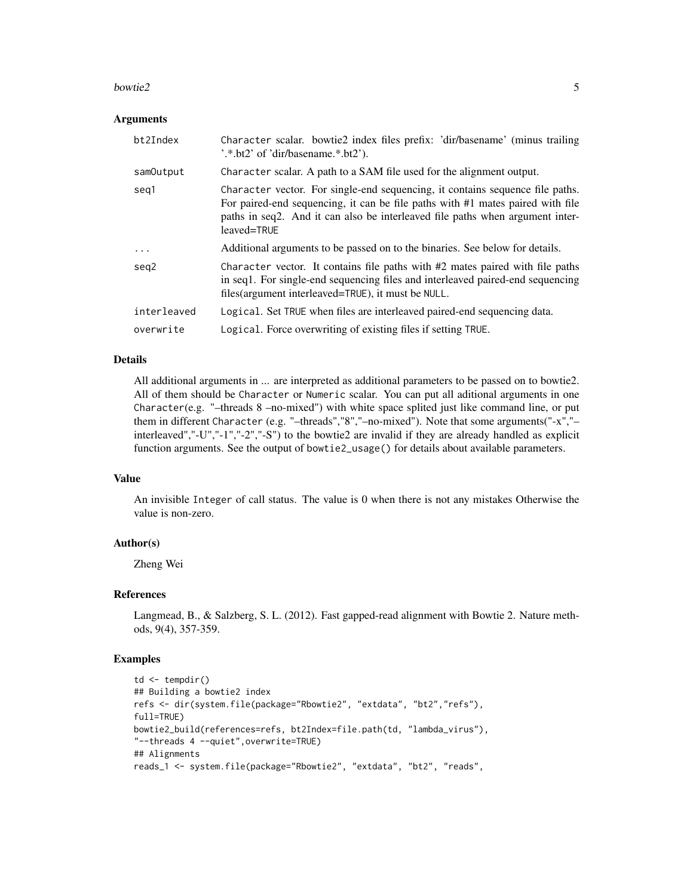#### bowtie2 5

#### Arguments

| bt2Index    | Character scalar. bowtie2 index files prefix: 'dir/basename' (minus trailing<br>$\cdot$ .*.bt2' of 'dir/basename.*.bt2').                                                                                                                                       |
|-------------|-----------------------------------------------------------------------------------------------------------------------------------------------------------------------------------------------------------------------------------------------------------------|
| samOutput   | Character scalar. A path to a SAM file used for the alignment output.                                                                                                                                                                                           |
| seg1        | Character vector. For single-end sequencing, it contains sequence file paths.<br>For paired-end sequencing, it can be file paths with #1 mates paired with file<br>paths in seq2. And it can also be interleaved file paths when argument inter-<br>leaved=TRUE |
| .           | Additional arguments to be passed on to the binaries. See below for details.                                                                                                                                                                                    |
| seg2        | Character vector. It contains file paths with $#2$ mates paired with file paths<br>in seq1. For single-end sequencing files and interleaved paired-end sequencing<br>files(argument interleaved=TRUE), it must be NULL.                                         |
| interleaved | Logical. Set TRUE when files are interleaved paired-end sequencing data.                                                                                                                                                                                        |
| overwrite   | Logical. Force overwriting of existing files if setting TRUE.                                                                                                                                                                                                   |

#### Details

All additional arguments in ... are interpreted as additional parameters to be passed on to bowtie2. All of them should be Character or Numeric scalar. You can put all aditional arguments in one Character(e.g. "-threads  $8$  -no-mixed") with white space splited just like command line, or put them in different Character (e.g. "–threads","8","–no-mixed"). Note that some arguments("-x","– interleaved","-U","-1","-2","-S") to the bowtie2 are invalid if they are already handled as explicit function arguments. See the output of bowtie2\_usage() for details about available parameters.

#### Value

An invisible Integer of call status. The value is 0 when there is not any mistakes Otherwise the value is non-zero.

#### Author(s)

Zheng Wei

#### References

Langmead, B., & Salzberg, S. L. (2012). Fast gapped-read alignment with Bowtie 2. Nature methods, 9(4), 357-359.

#### Examples

```
td \leftarrow tempdir()## Building a bowtie2 index
refs <- dir(system.file(package="Rbowtie2", "extdata", "bt2","refs"),
full=TRUE)
bowtie2_build(references=refs, bt2Index=file.path(td, "lambda_virus"),
"--threads 4 --quiet",overwrite=TRUE)
## Alignments
reads_1 <- system.file(package="Rbowtie2", "extdata", "bt2", "reads",
```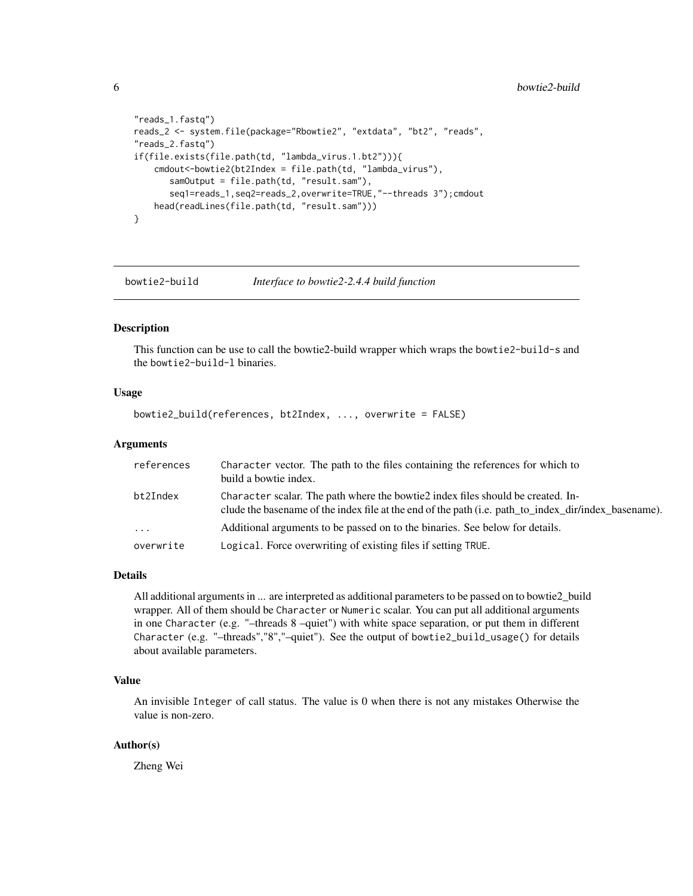```
"reads_1.fastq")
reads_2 <- system.file(package="Rbowtie2", "extdata", "bt2", "reads",
"reads_2.fastq")
if(file.exists(file.path(td, "lambda_virus.1.bt2"))){
   cmdout<-bowtie2(bt2Index = file.path(td, "lambda_virus"),
      samOutput = file.path(td, "result.sam"),
      seq1=reads_1,seq2=reads_2,overwrite=TRUE,"--threads 3");cmdout
   head(readLines(file.path(td, "result.sam")))
}
```
bowtie2-build *Interface to bowtie2-2.4.4 build function*

#### Description

This function can be use to call the bowtie2-build wrapper which wraps the bowtie2-build-s and the bowtie2-build-l binaries.

#### Usage

bowtie2\_build(references, bt2Index, ..., overwrite = FALSE)

#### Arguments

| references | Character vector. The path to the files containing the references for which to<br>build a bowtie index.                                                                                             |
|------------|-----------------------------------------------------------------------------------------------------------------------------------------------------------------------------------------------------|
| bt2Index   | Character scalar. The path where the bowtie <sub>2</sub> index files should be created. In-<br>clude the basename of the index file at the end of the path (i.e. path to index dir/index basename). |
| $\cdots$   | Additional arguments to be passed on to the binaries. See below for details.                                                                                                                        |
| overwrite  | Logical. Force overwriting of existing files if setting TRUE.                                                                                                                                       |

#### Details

All additional arguments in ... are interpreted as additional parameters to be passed on to bowtie2\_build wrapper. All of them should be Character or Numeric scalar. You can put all additional arguments in one Character (e.g. "–threads 8 –quiet") with white space separation, or put them in different Character (e.g. "–threads","8","–quiet"). See the output of bowtie2\_build\_usage() for details about available parameters.

#### Value

An invisible Integer of call status. The value is 0 when there is not any mistakes Otherwise the value is non-zero.

#### Author(s)

Zheng Wei

<span id="page-5-0"></span>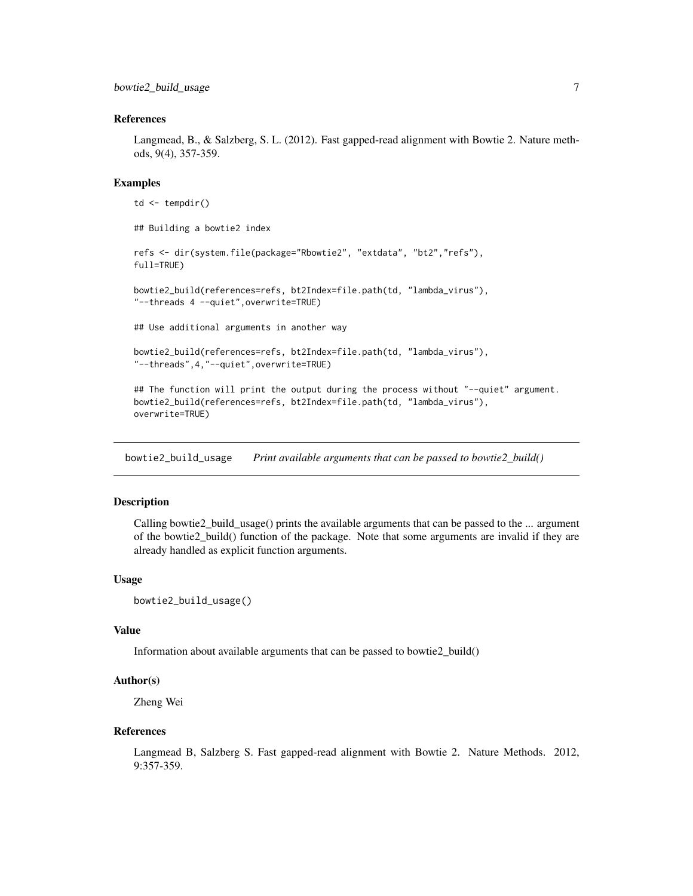#### <span id="page-6-0"></span>References

Langmead, B., & Salzberg, S. L. (2012). Fast gapped-read alignment with Bowtie 2. Nature methods, 9(4), 357-359.

#### Examples

```
td <- tempdir()
## Building a bowtie2 index
refs <- dir(system.file(package="Rbowtie2", "extdata", "bt2","refs"),
full=TRUE)
bowtie2_build(references=refs, bt2Index=file.path(td, "lambda_virus"),
"--threads 4 --quiet",overwrite=TRUE)
## Use additional arguments in another way
bowtie2_build(references=refs, bt2Index=file.path(td, "lambda_virus"),
"--threads",4,"--quiet",overwrite=TRUE)
## The function will print the output during the process without "--quiet" argument.
bowtie2_build(references=refs, bt2Index=file.path(td, "lambda_virus"),
overwrite=TRUE)
```
bowtie2\_build\_usage *Print available arguments that can be passed to bowtie2\_build()*

#### Description

Calling bowtie2\_build\_usage() prints the available arguments that can be passed to the ... argument of the bowtie2\_build() function of the package. Note that some arguments are invalid if they are already handled as explicit function arguments.

#### Usage

```
bowtie2_build_usage()
```
#### Value

Information about available arguments that can be passed to bowtie2\_build()

#### Author(s)

Zheng Wei

#### References

Langmead B, Salzberg S. Fast gapped-read alignment with Bowtie 2. Nature Methods. 2012, 9:357-359.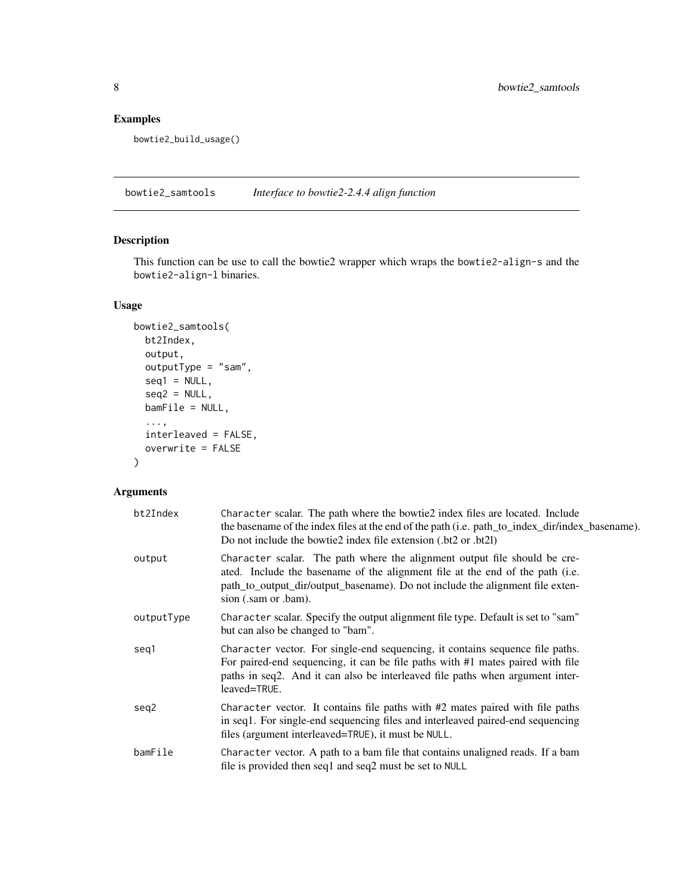#### <span id="page-7-0"></span>Examples

bowtie2\_build\_usage()

bowtie2\_samtools *Interface to bowtie2-2.4.4 align function*

#### Description

This function can be use to call the bowtie2 wrapper which wraps the bowtie2-align-s and the bowtie2-align-l binaries.

#### Usage

```
bowtie2_samtools(
 bt2Index,
 output,
 outputType = "sam",
  seq1 = NULL,seq2 = NULL,bamFile = NULL,
  ...,
  interleaved = FALSE,
 overwrite = FALSE
\mathcal{L}
```
#### Arguments

| bt2Index   | Character scalar. The path where the bowtie <sub>2</sub> index files are located. Include<br>the basename of the index files at the end of the path (i.e. path_to_index_dir/index_basename).<br>Do not include the bowtie2 index file extension (.bt2 or .bt2l)     |
|------------|---------------------------------------------------------------------------------------------------------------------------------------------------------------------------------------------------------------------------------------------------------------------|
| output     | Character scalar. The path where the alignment output file should be cre-<br>ated. Include the basename of the alignment file at the end of the path (i.e.<br>path_to_output_dir/output_basename). Do not include the alignment file exten-<br>sion (.sam or .bam). |
| outputType | Character scalar. Specify the output alignment file type. Default is set to "sam"<br>but can also be changed to "bam".                                                                                                                                              |
| seg1       | Character vector. For single-end sequencing, it contains sequence file paths.<br>For paired-end sequencing, it can be file paths with #1 mates paired with file<br>paths in seq2. And it can also be interleaved file paths when argument inter-<br>leaved=TRUE.    |
| seg2       | Character vector. It contains file paths with $#2$ mates paired with file paths<br>in seq1. For single-end sequencing files and interleaved paired-end sequencing<br>files (argument interleaved=TRUE), it must be NULL.                                            |
| bamFile    | Character vector. A path to a bam file that contains unaligned reads. If a bam<br>file is provided then seq1 and seq2 must be set to NULL                                                                                                                           |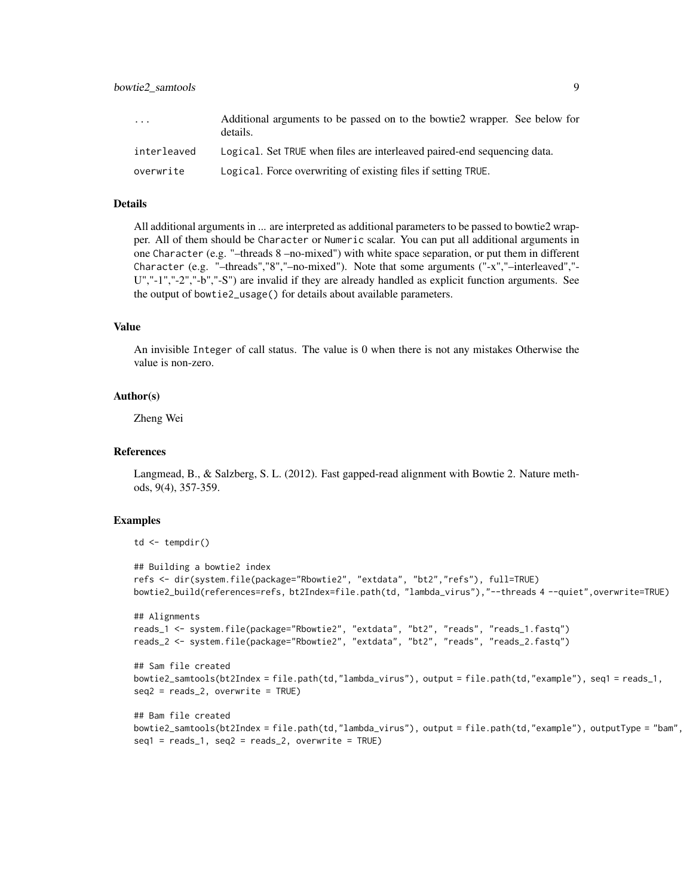| $\cdots$    | Additional arguments to be passed on to the bowtie <sub>2</sub> wrapper. See below for<br>details. |
|-------------|----------------------------------------------------------------------------------------------------|
| interleaved | Logical. Set TRUE when files are interleaved paired-end sequencing data.                           |
| overwrite   | Logical. Force overwriting of existing files if setting TRUE.                                      |

#### Details

All additional arguments in ... are interpreted as additional parameters to be passed to bowtie2 wrapper. All of them should be Character or Numeric scalar. You can put all additional arguments in one Character (e.g. "–threads 8 –no-mixed") with white space separation, or put them in different Character (e.g. "–threads","8","–no-mixed"). Note that some arguments ("-x","–interleaved","- U","-1","-2","-b","-S") are invalid if they are already handled as explicit function arguments. See the output of bowtie2\_usage() for details about available parameters.

#### Value

An invisible Integer of call status. The value is 0 when there is not any mistakes Otherwise the value is non-zero.

#### Author(s)

Zheng Wei

#### References

Langmead, B., & Salzberg, S. L. (2012). Fast gapped-read alignment with Bowtie 2. Nature methods, 9(4), 357-359.

#### Examples

```
td \leftarrow tempdir()## Building a bowtie2 index
refs <- dir(system.file(package="Rbowtie2", "extdata", "bt2","refs"), full=TRUE)
bowtie2_build(references=refs, bt2Index=file.path(td, "lambda_virus"),"--threads 4 --quiet",overwrite=TRUE)
## Alignments
reads_1 <- system.file(package="Rbowtie2", "extdata", "bt2", "reads", "reads_1.fastq")
reads_2 <- system.file(package="Rbowtie2", "extdata", "bt2", "reads", "reads_2.fastq")
```

```
## Sam file created
bowtie2_samtools(bt2Index = file.path(td,"lambda_virus"), output = file.path(td,"example"), seq1 = reads_1,
seq2 = reads_2, overwrite = TRUE)
```

```
## Bam file created
bowtie2_samtools(bt2Index = file.path(td,"lambda_virus"), output = file.path(td,"example"), outputType = "bam",
seq1 = reads_1, seq2 = reads_2, overwrite = TRUE)
```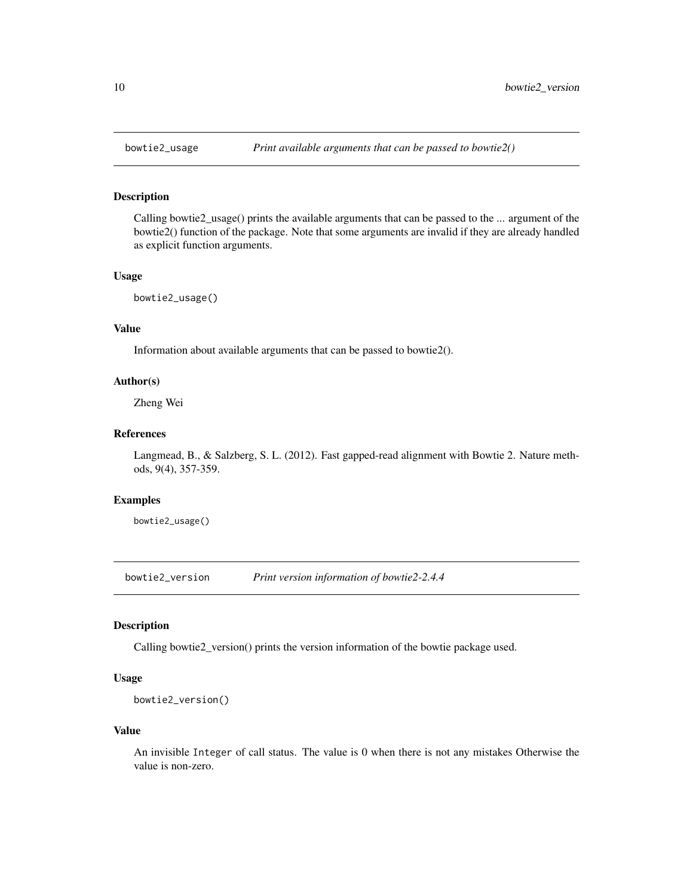<span id="page-9-0"></span>

#### Description

Calling bowtie2\_usage() prints the available arguments that can be passed to the ... argument of the bowtie2() function of the package. Note that some arguments are invalid if they are already handled as explicit function arguments.

#### Usage

bowtie2\_usage()

#### Value

Information about available arguments that can be passed to bowtie2().

#### Author(s)

Zheng Wei

#### References

Langmead, B., & Salzberg, S. L. (2012). Fast gapped-read alignment with Bowtie 2. Nature methods, 9(4), 357-359.

#### Examples

bowtie2\_usage()

bowtie2\_version *Print version information of bowtie2-2.4.4*

#### Description

Calling bowtie2\_version() prints the version information of the bowtie package used.

#### Usage

```
bowtie2_version()
```
#### Value

An invisible Integer of call status. The value is 0 when there is not any mistakes Otherwise the value is non-zero.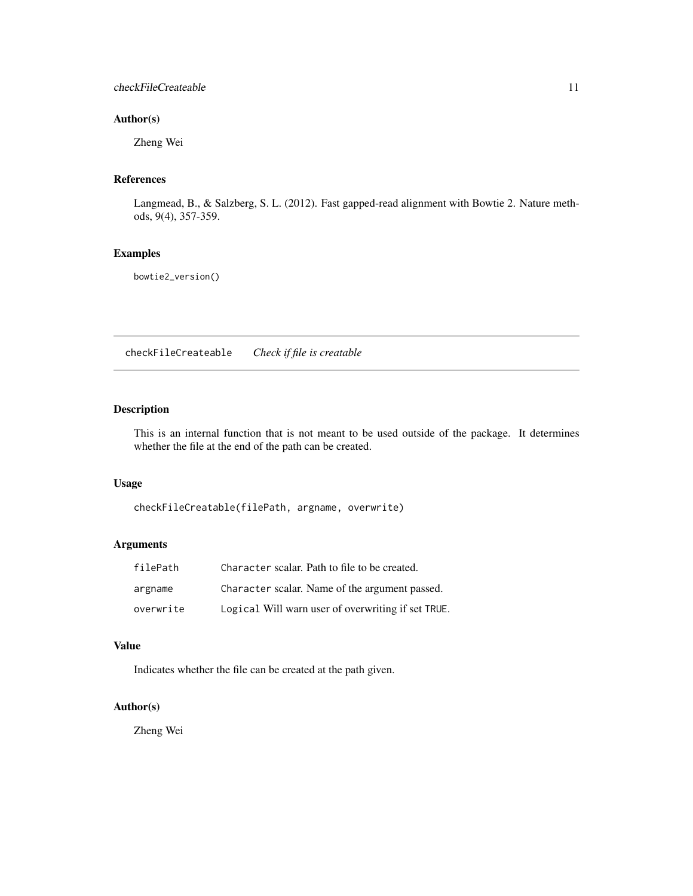#### <span id="page-10-0"></span>checkFileCreateable 11

#### Author(s)

Zheng Wei

#### References

Langmead, B., & Salzberg, S. L. (2012). Fast gapped-read alignment with Bowtie 2. Nature methods, 9(4), 357-359.

#### Examples

bowtie2\_version()

checkFileCreateable *Check if file is creatable*

#### Description

This is an internal function that is not meant to be used outside of the package. It determines whether the file at the end of the path can be created.

#### Usage

checkFileCreatable(filePath, argname, overwrite)

#### Arguments

| filePath  | Character scalar. Path to file to be created.      |
|-----------|----------------------------------------------------|
| argname   | Character scalar. Name of the argument passed.     |
| overwrite | Logical Will warn user of overwriting if set TRUE. |

#### Value

Indicates whether the file can be created at the path given.

#### Author(s)

Zheng Wei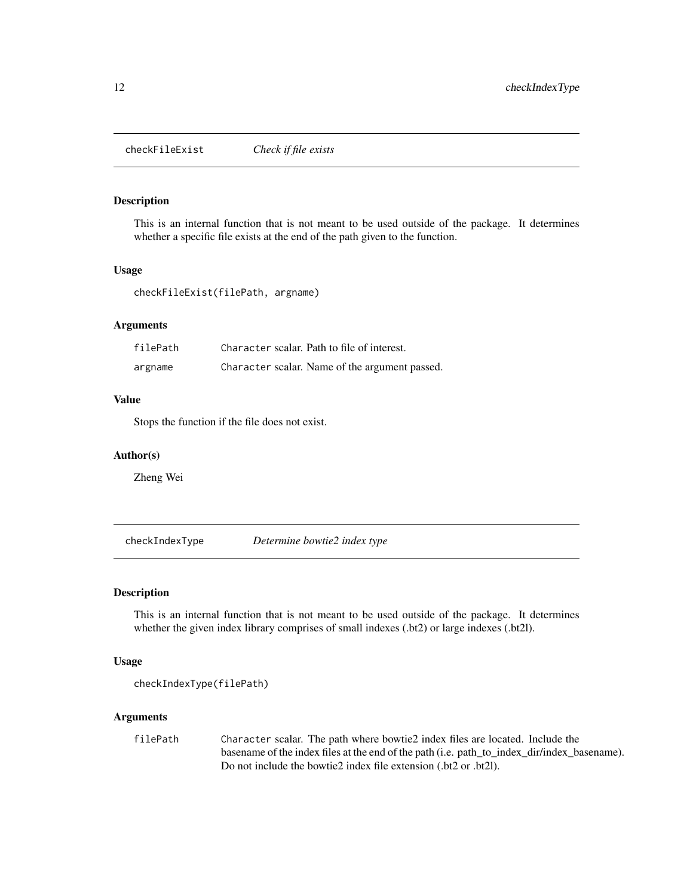<span id="page-11-0"></span>checkFileExist *Check if file exists*

#### Description

This is an internal function that is not meant to be used outside of the package. It determines whether a specific file exists at the end of the path given to the function.

#### Usage

checkFileExist(filePath, argname)

#### Arguments

| filePath | Character scalar. Path to file of interest.    |
|----------|------------------------------------------------|
| argname  | Character scalar. Name of the argument passed. |

#### Value

Stops the function if the file does not exist.

#### Author(s)

Zheng Wei

checkIndexType *Determine bowtie2 index type*

#### Description

This is an internal function that is not meant to be used outside of the package. It determines whether the given index library comprises of small indexes (.bt2) or large indexes (.bt2l).

#### Usage

```
checkIndexType(filePath)
```
#### Arguments

filePath Character scalar. The path where bowtie2 index files are located. Include the basename of the index files at the end of the path (i.e. path\_to\_index\_dir/index\_basename). Do not include the bowtie2 index file extension (.bt2 or .bt2l).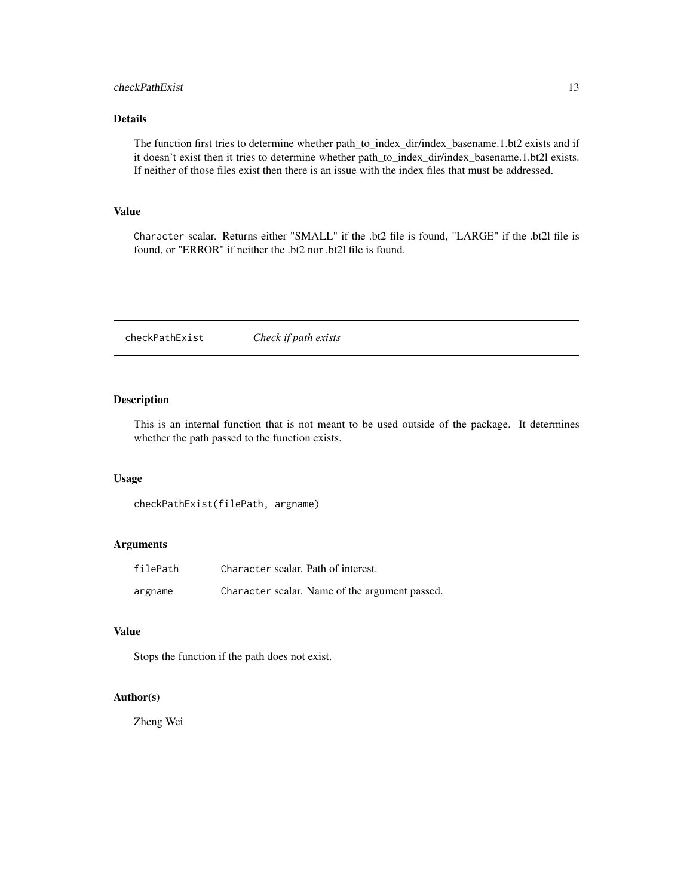#### <span id="page-12-0"></span>checkPathExist 13

#### Details

The function first tries to determine whether path\_to\_index\_dir/index\_basename.1.bt2 exists and if it doesn't exist then it tries to determine whether path\_to\_index\_dir/index\_basename.1.bt2l exists. If neither of those files exist then there is an issue with the index files that must be addressed.

#### Value

Character scalar. Returns either "SMALL" if the .bt2 file is found, "LARGE" if the .bt2l file is found, or "ERROR" if neither the .bt2 nor .bt2l file is found.

checkPathExist *Check if path exists*

#### Description

This is an internal function that is not meant to be used outside of the package. It determines whether the path passed to the function exists.

#### Usage

checkPathExist(filePath, argname)

#### Arguments

| filePath | Character scalar. Path of interest. |                                                |
|----------|-------------------------------------|------------------------------------------------|
| argname  |                                     | Character scalar. Name of the argument passed. |

#### Value

Stops the function if the path does not exist.

#### Author(s)

Zheng Wei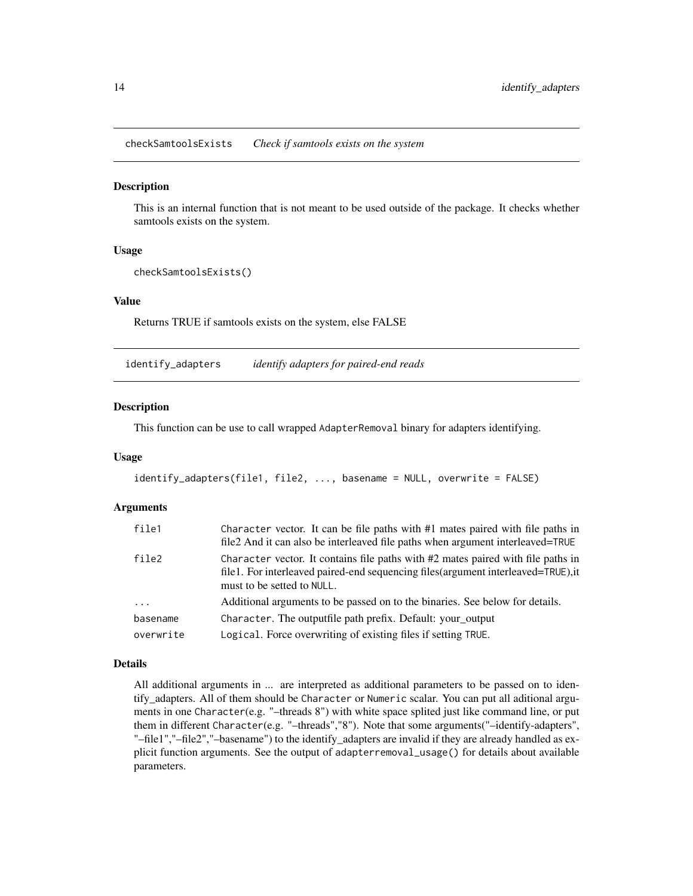<span id="page-13-0"></span>checkSamtoolsExists *Check if samtools exists on the system*

#### Description

This is an internal function that is not meant to be used outside of the package. It checks whether samtools exists on the system.

#### Usage

```
checkSamtoolsExists()
```
#### Value

Returns TRUE if samtools exists on the system, else FALSE

identify\_adapters *identify adapters for paired-end reads*

#### Description

This function can be use to call wrapped AdapterRemoval binary for adapters identifying.

#### Usage

```
identify_adapters(file1, file2, ..., basename = NULL, overwrite = FALSE)
```
#### Arguments

| file1               | Character vector. It can be file paths with $#1$ mates paired with file paths in<br>file 2 And it can also be interleaved file paths when argument interleaved=TRUE                                  |  |
|---------------------|------------------------------------------------------------------------------------------------------------------------------------------------------------------------------------------------------|--|
| file2               | Character vector. It contains file paths with #2 mates paired with file paths in<br>file1. For interleaved paired-end sequencing files (argument interleaved=TRUE), it<br>must to be setted to NULL. |  |
| $\cdot \cdot \cdot$ | Additional arguments to be passed on to the binaries. See below for details.                                                                                                                         |  |
| basename            | Character. The outputfile path prefix. Default: your_output                                                                                                                                          |  |
| overwrite           | Logical. Force overwriting of existing files if setting TRUE.                                                                                                                                        |  |

#### Details

All additional arguments in ... are interpreted as additional parameters to be passed on to identify\_adapters. All of them should be Character or Numeric scalar. You can put all aditional arguments in one Character(e.g. "–threads 8") with white space splited just like command line, or put them in different Character(e.g. "–threads","8"). Note that some arguments("–identify-adapters", "–file1","–file2","–basename") to the identify\_adapters are invalid if they are already handled as explicit function arguments. See the output of adapterremoval\_usage() for details about available parameters.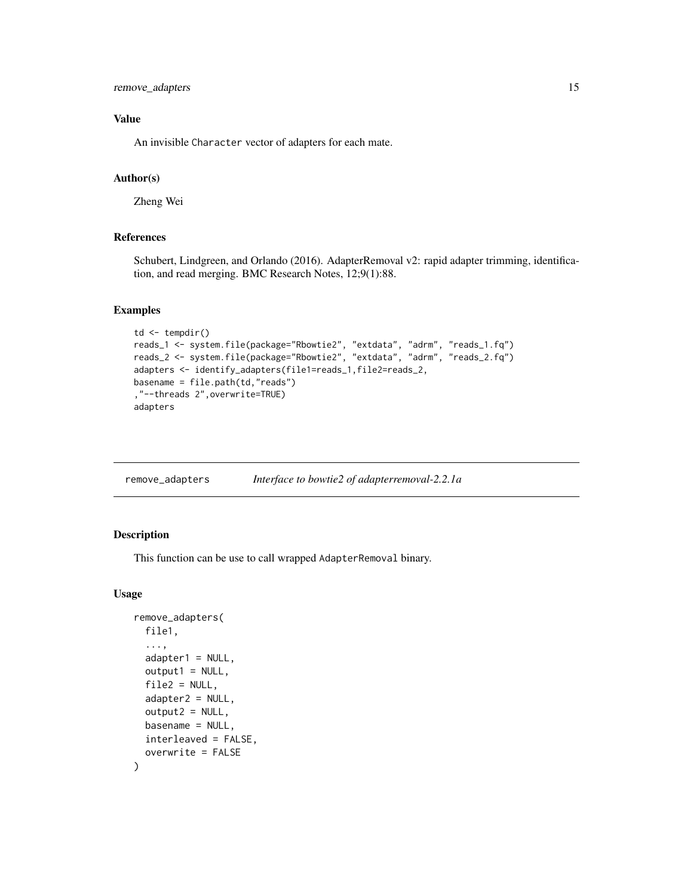#### <span id="page-14-0"></span>remove\_adapters 15

#### Value

An invisible Character vector of adapters for each mate.

#### Author(s)

Zheng Wei

#### References

Schubert, Lindgreen, and Orlando (2016). AdapterRemoval v2: rapid adapter trimming, identification, and read merging. BMC Research Notes, 12;9(1):88.

#### Examples

```
td <- tempdir()
reads_1 <- system.file(package="Rbowtie2", "extdata", "adrm", "reads_1.fq")
reads_2 <- system.file(package="Rbowtie2", "extdata", "adrm", "reads_2.fq")
adapters <- identify_adapters(file1=reads_1,file2=reads_2,
basename = file.path(td,"reads")
,"--threads 2",overwrite=TRUE)
adapters
```

| remove_adapters | Interface to bowtie2 of adapterremoval-2.2.1a |
|-----------------|-----------------------------------------------|
|                 |                                               |

#### Description

This function can be use to call wrapped AdapterRemoval binary.

#### Usage

```
remove_adapters(
 file1,
  ...,
 adapter1 = NULL,output1 = NULL,file2 = NULL,
 adapters2 = NULL,output2 = NULL,basename = NULL,interleaved = FALSE,
 overwrite = FALSE
)
```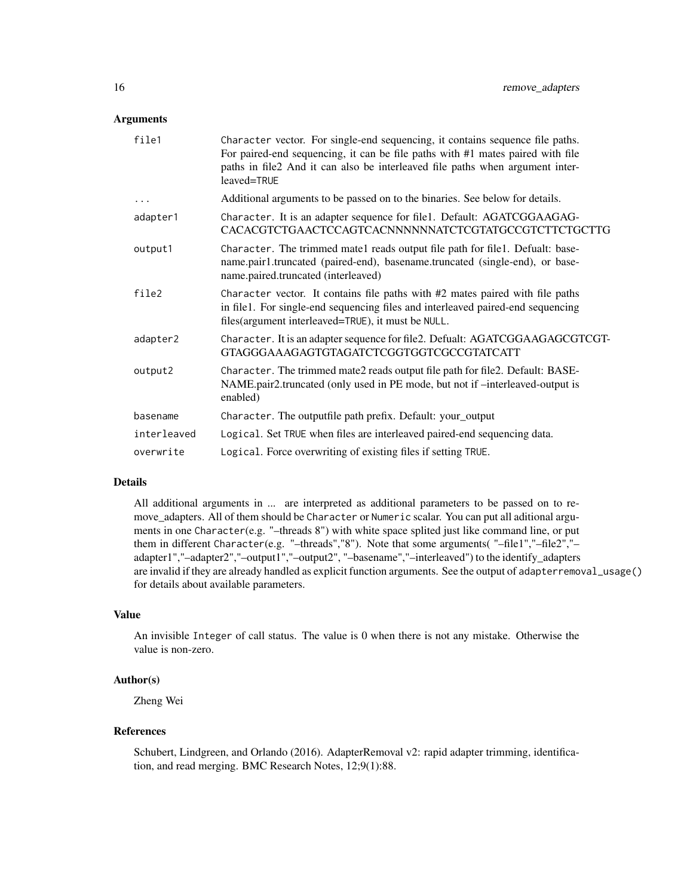#### **Arguments**

| file1       | Character vector. For single-end sequencing, it contains sequence file paths.<br>For paired-end sequencing, it can be file paths with #1 mates paired with file<br>paths in file2 And it can also be interleaved file paths when argument inter-<br>leaved=TRUE |
|-------------|-----------------------------------------------------------------------------------------------------------------------------------------------------------------------------------------------------------------------------------------------------------------|
| $\cdots$    | Additional arguments to be passed on to the binaries. See below for details.                                                                                                                                                                                    |
| adapter1    | Character. It is an adapter sequence for file1. Default: AGATCGGAAGAG-<br>CACACGTCTGAACTCCAGTCACNNNNNNATCTCGTATGCCGTCTTCTGCTTG                                                                                                                                  |
| output1     | Character. The trimmed mate1 reads output file path for file1. Defualt: base-<br>name.pair1.truncated (paired-end), basename.truncated (single-end), or base-<br>name.paired.truncated (interleaved)                                                            |
| file2       | Character vector. It contains file paths with $#2$ mates paired with file paths<br>in file1. For single-end sequencing files and interleaved paired-end sequencing<br>files(argument interleaved=TRUE), it must be NULL.                                        |
| adapter2    | Character. It is an adapter sequence for file2. Defualt: AGATCGGAAGAGCGTCGT-<br>GTAGGGAAAGAGTGTAGATCTCGGTGGTCGCCGTATCATT                                                                                                                                        |
| output2     | Character. The trimmed mate2 reads output file path for file2. Default: BASE-<br>NAME.pair2.truncated (only used in PE mode, but not if -interleaved-output is<br>enabled)                                                                                      |
| basename    | Character. The outputfile path prefix. Default: your_output                                                                                                                                                                                                     |
| interleaved | Logical. Set TRUE when files are interleaved paired-end sequencing data.                                                                                                                                                                                        |
| overwrite   | Logical. Force overwriting of existing files if setting TRUE.                                                                                                                                                                                                   |

#### Details

All additional arguments in ... are interpreted as additional parameters to be passed on to remove\_adapters. All of them should be Character or Numeric scalar. You can put all aditional arguments in one Character(e.g. "–threads 8") with white space splited just like command line, or put them in different Character(e.g. "–threads","8"). Note that some arguments( "–file1","–file2","– adapter1","–adapter2","–output1","–output2", "–basename","–interleaved") to the identify\_adapters are invalid if they are already handled as explicit function arguments. See the output of adapterremoval\_usage() for details about available parameters.

#### Value

An invisible Integer of call status. The value is 0 when there is not any mistake. Otherwise the value is non-zero.

#### Author(s)

Zheng Wei

#### References

Schubert, Lindgreen, and Orlando (2016). AdapterRemoval v2: rapid adapter trimming, identification, and read merging. BMC Research Notes, 12;9(1):88.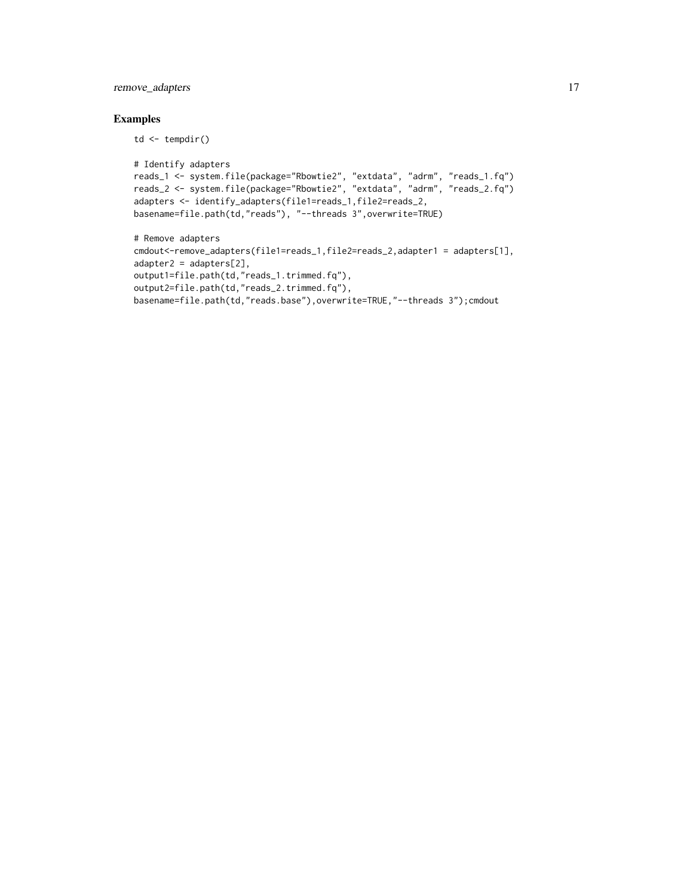#### remove\_adapters 17

#### Examples

td <- tempdir()

```
# Identify adapters
reads_1 <- system.file(package="Rbowtie2", "extdata", "adrm", "reads_1.fq")
reads_2 <- system.file(package="Rbowtie2", "extdata", "adrm", "reads_2.fq")
adapters <- identify_adapters(file1=reads_1,file2=reads_2,
basename=file.path(td,"reads"), "--threads 3",overwrite=TRUE)
```

```
# Remove adapters
cmdout<-remove_adapters(file1=reads_1,file2=reads_2,adapter1 = adapters[1],
adapter2 = adapters[2],
output1=file.path(td,"reads_1.trimmed.fq"),
output2=file.path(td,"reads_2.trimmed.fq"),
basename=file.path(td,"reads.base"),overwrite=TRUE,"--threads 3");cmdout
```